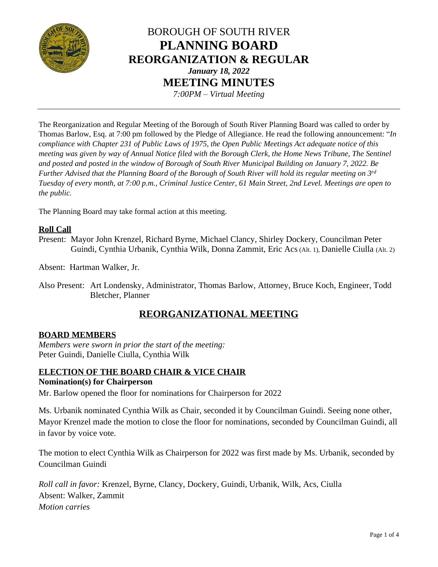

# BOROUGH OF SOUTH RIVER **PLANNING BOARD REORGANIZATION & REGULAR** *January 18, 2022* **MEETING MINUTES** *7:00PM – Virtual Meeting*

The Reorganization and Regular Meeting of the Borough of South River Planning Board was called to order by Thomas Barlow, Esq. at 7:00 pm followed by the Pledge of Allegiance. He read the following announcement: "*In compliance with Chapter 231 of Public Laws of 1975, the Open Public Meetings Act adequate notice of this meeting was given by way of Annual Notice filed with the Borough Clerk, the Home News Tribune, The Sentinel and posted and posted in the window of Borough of South River Municipal Building on January 7, 2022. Be*  Further Advised that the Planning Board of the Borough of South River will hold its regular meeting on 3<sup>rd</sup> *Tuesday of every month, at 7:00 p.m., Criminal Justice Center, 61 Main Street, 2nd Level. Meetings are open to the public.*

The Planning Board may take formal action at this meeting.

## **Roll Call**

Present: Mayor John Krenzel, Richard Byrne, Michael Clancy, Shirley Dockery, Councilman Peter Guindi, Cynthia Urbanik, Cynthia Wilk, Donna Zammit, Eric Acs (Alt. 1), Danielle Ciulla (Alt. 2)

Absent: Hartman Walker, Jr.

Also Present: Art Londensky, Administrator, Thomas Barlow, Attorney, Bruce Koch, Engineer, Todd Bletcher, Planner

## **REORGANIZATIONAL MEETING**

## **BOARD MEMBERS**

*Members were sworn in prior the start of the meeting:* Peter Guindi, Danielle Ciulla, Cynthia Wilk

#### **ELECTION OF THE BOARD CHAIR & VICE CHAIR Nomination(s) for Chairperson**

Mr. Barlow opened the floor for nominations for Chairperson for 2022

Ms. Urbanik nominated Cynthia Wilk as Chair, seconded it by Councilman Guindi. Seeing none other, Mayor Krenzel made the motion to close the floor for nominations, seconded by Councilman Guindi, all in favor by voice vote.

The motion to elect Cynthia Wilk as Chairperson for 2022 was first made by Ms. Urbanik, seconded by Councilman Guindi

*Roll call in favor:* Krenzel, Byrne, Clancy, Dockery, Guindi, Urbanik, Wilk, Acs, Ciulla Absent: Walker, Zammit *Motion carries*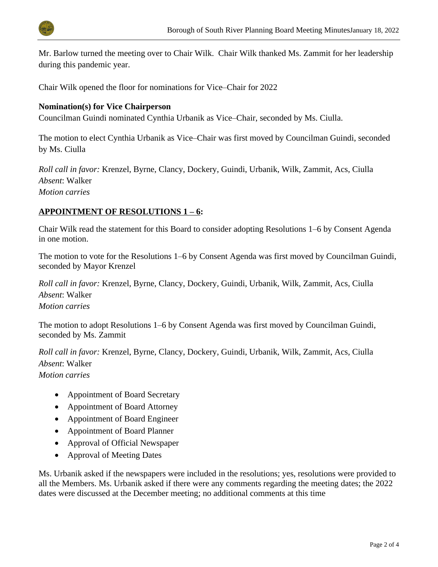

Mr. Barlow turned the meeting over to Chair Wilk. Chair Wilk thanked Ms. Zammit for her leadership during this pandemic year.

Chair Wilk opened the floor for nominations for Vice–Chair for 2022

## **Nomination(s) for Vice Chairperson**

Councilman Guindi nominated Cynthia Urbanik as Vice–Chair, seconded by Ms. Ciulla.

The motion to elect Cynthia Urbanik as Vice–Chair was first moved by Councilman Guindi, seconded by Ms. Ciulla

*Roll call in favor:* Krenzel, Byrne, Clancy, Dockery, Guindi, Urbanik, Wilk, Zammit, Acs, Ciulla *Absent*: Walker *Motion carries*

#### **APPOINTMENT OF RESOLUTIONS 1 – 6:**

Chair Wilk read the statement for this Board to consider adopting Resolutions 1–6 by Consent Agenda in one motion.

The motion to vote for the Resolutions 1–6 by Consent Agenda was first moved by Councilman Guindi, seconded by Mayor Krenzel

*Roll call in favor:* Krenzel, Byrne, Clancy, Dockery, Guindi, Urbanik, Wilk, Zammit, Acs, Ciulla *Absent*: Walker *Motion carries*

The motion to adopt Resolutions 1–6 by Consent Agenda was first moved by Councilman Guindi, seconded by Ms. Zammit

*Roll call in favor:* Krenzel, Byrne, Clancy, Dockery, Guindi, Urbanik, Wilk, Zammit, Acs, Ciulla *Absent*: Walker *Motion carries*

- Appointment of Board Secretary
- Appointment of Board Attorney
- Appointment of Board Engineer
- Appointment of Board Planner
- Approval of Official Newspaper
- Approval of Meeting Dates

Ms. Urbanik asked if the newspapers were included in the resolutions; yes, resolutions were provided to all the Members. Ms. Urbanik asked if there were any comments regarding the meeting dates; the 2022 dates were discussed at the December meeting; no additional comments at this time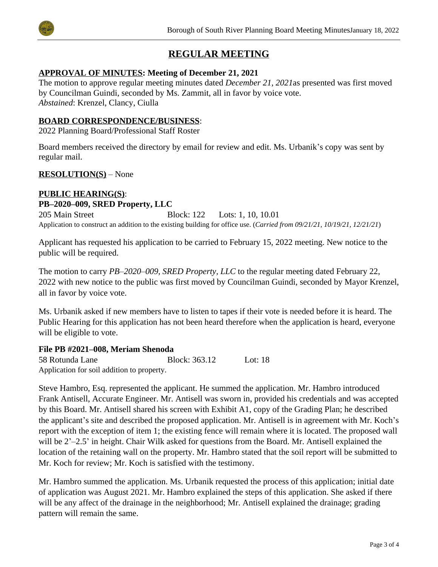



## **REGULAR MEETING**

## **APPROVAL OF MINUTES: Meeting of December 21, 2021**

The motion to approve regular meeting minutes dated *December 21, 2021*as presented was first moved by Councilman Guindi, seconded by Ms. Zammit, all in favor by voice vote. *Abstained*: Krenzel, Clancy, Ciulla

## **BOARD CORRESPONDENCE/BUSINESS**:

2022 Planning Board/Professional Staff Roster

Board members received the directory by email for review and edit. Ms. Urbanik's copy was sent by regular mail.

## **RESOLUTION(S)** – None

#### **PUBLIC HEARING(S)**: **PB–2020–009, SRED Property, LLC**

205 Main Street Block: 122 Lots: 1, 10, 10.01 Application to construct an addition to the existing building for office use. (*Carried from 09/21/21, 10/19/21, 12/21/21*)

Applicant has requested his application to be carried to February 15, 2022 meeting. New notice to the public will be required.

The motion to carry *PB–2020–009, SRED Property, LLC* to the regular meeting dated February 22, 2022 with new notice to the public was first moved by Councilman Guindi, seconded by Mayor Krenzel, all in favor by voice vote.

Ms. Urbanik asked if new members have to listen to tapes if their vote is needed before it is heard. The Public Hearing for this application has not been heard therefore when the application is heard, everyone will be eligible to vote.

## **File PB #2021–008, Meriam Shenoda**

58 Rotunda Lane Block: 363.12 Lot: 18 Application for soil addition to property.

Steve Hambro, Esq. represented the applicant. He summed the application. Mr. Hambro introduced Frank Antisell, Accurate Engineer. Mr. Antisell was sworn in, provided his credentials and was accepted by this Board. Mr. Antisell shared his screen with Exhibit A1, copy of the Grading Plan; he described the applicant's site and described the proposed application. Mr. Antisell is in agreement with Mr. Koch's report with the exception of item 1; the existing fence will remain where it is located. The proposed wall will be 2'–2.5' in height. Chair Wilk asked for questions from the Board. Mr. Antisell explained the location of the retaining wall on the property. Mr. Hambro stated that the soil report will be submitted to Mr. Koch for review; Mr. Koch is satisfied with the testimony.

Mr. Hambro summed the application. Ms. Urbanik requested the process of this application; initial date of application was August 2021. Mr. Hambro explained the steps of this application. She asked if there will be any affect of the drainage in the neighborhood; Mr. Antisell explained the drainage; grading pattern will remain the same.